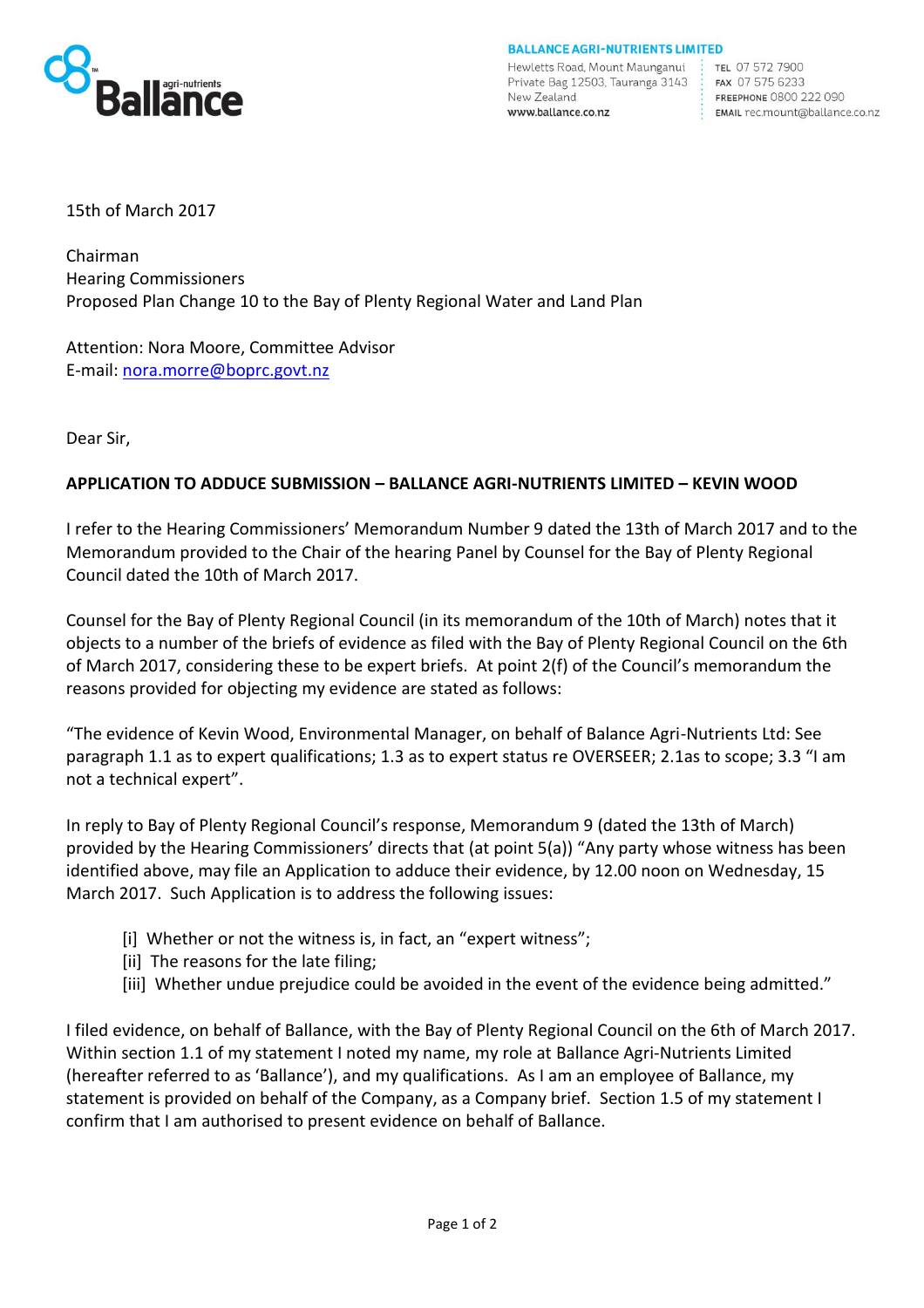

**BALLANCE AGRI-NUTRIENTS LIMITED** 

Hewletts Road, Mount Maunganui: Private Bag 12503, Tauranga 3143 : New Zealand www.ballance.co.nz

TEL 07 572 7900 FAX 07 575 6233 FREEPHONE 0800 222 090 EMAIL rec.mount@ballance.co.nz

15th of March 2017

Chairman Hearing Commissioners Proposed Plan Change 10 to the Bay of Plenty Regional Water and Land Plan

Attention: Nora Moore, Committee Advisor E-mail: [nora.morre@boprc.govt.nz](file://///BANData/data/Environment/Government%20Local/Regional/EBoP/nora.morre@boprc.govt.nz)

Dear Sir,

## **APPLICATION TO ADDUCE SUBMISSION – BALLANCE AGRI-NUTRIENTS LIMITED – KEVIN WOOD**

I refer to the Hearing Commissioners' Memorandum Number 9 dated the 13th of March 2017 and to the Memorandum provided to the Chair of the hearing Panel by Counsel for the Bay of Plenty Regional Council dated the 10th of March 2017.

Counsel for the Bay of Plenty Regional Council (in its memorandum of the 10th of March) notes that it objects to a number of the briefs of evidence as filed with the Bay of Plenty Regional Council on the 6th of March 2017, considering these to be expert briefs. At point 2(f) of the Council's memorandum the reasons provided for objecting my evidence are stated as follows:

"The evidence of Kevin Wood, Environmental Manager, on behalf of Balance Agri-Nutrients Ltd: See paragraph 1.1 as to expert qualifications; 1.3 as to expert status re OVERSEER; 2.1as to scope; 3.3 "I am not a technical expert".

In reply to Bay of Plenty Regional Council's response, Memorandum 9 (dated the 13th of March) provided by the Hearing Commissioners' directs that (at point 5(a)) "Any party whose witness has been identified above, may file an Application to adduce their evidence, by 12.00 noon on Wednesday, 15 March 2017. Such Application is to address the following issues:

- [i] Whether or not the witness is, in fact, an "expert witness";
- [ii] The reasons for the late filing;
- [iii] Whether undue prejudice could be avoided in the event of the evidence being admitted."

I filed evidence, on behalf of Ballance, with the Bay of Plenty Regional Council on the 6th of March 2017. Within section 1.1 of my statement I noted my name, my role at Ballance Agri-Nutrients Limited (hereafter referred to as 'Ballance'), and my qualifications. As I am an employee of Ballance, my statement is provided on behalf of the Company, as a Company brief. Section 1.5 of my statement I confirm that I am authorised to present evidence on behalf of Ballance.